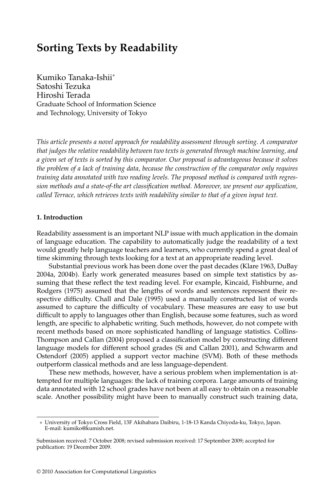# **Sorting Texts by Readability**

Kumiko Tanaka-Ishii<sup>∗</sup> Satoshi Tezuka Hiroshi Terada Graduate School of Information Science and Technology, University of Tokyo

*This article presents a novel approach for readability assessment through sorting. A comparator that judges the relative readability between two texts is generated through machine learning, and a given set of texts is sorted by this comparator. Our proposal is advantageous because it solves the problem of a lack of training data, because the construction of the comparator only requires training data annotated with two reading levels. The proposed method is compared with regression methods and a state-of-the art classification method. Moreover, we present our application, called Terrace, which retrieves texts with readability similar to that of a given input text.*

## **1. Introduction**

Readability assessment is an important NLP issue with much application in the domain of language education. The capability to automatically judge the readability of a text would greatly help language teachers and learners, who currently spend a great deal of time skimming through texts looking for a text at an appropriate reading level.

Substantial previous work has been done over the past decades (Klare 1963, DuBay 2004a, 2004b). Early work generated measures based on simple text statistics by assuming that these reflect the text reading level. For example, Kincaid, Fishburne, and Rodgers (1975) assumed that the lengths of words and sentences represent their respective difficulty. Chall and Dale (1995) used a manually constructed list of words assumed to capture the difficulty of vocabulary. These measures are easy to use but difficult to apply to languages other than English, because some features, such as word length, are specific to alphabetic writing. Such methods, however, do not compete with recent methods based on more sophisticated handling of language statistics. Collins-Thompson and Callan (2004) proposed a classification model by constructing different language models for different school grades (Si and Callan 2001), and Schwarm and Ostendorf (2005) applied a support vector machine (SVM). Both of these methods outperform classical methods and are less language-dependent.

These new methods, however, have a serious problem when implementation is attempted for multiple languages: the lack of training corpora. Large amounts of training data annotated with 12 school grades have not been at all easy to obtain on a reasonable scale. Another possibility might have been to manually construct such training data,

<sup>∗</sup> University of Tokyo Cross Field, 13F Akihabara Daibiru, 1-18-13 Kanda Chiyoda-ku, Tokyo, Japan. E-mail: kumiko@kumish.net.

Submission received: 7 October 2008; revised submission received: 17 September 2009; accepted for publication: 19 December 2009.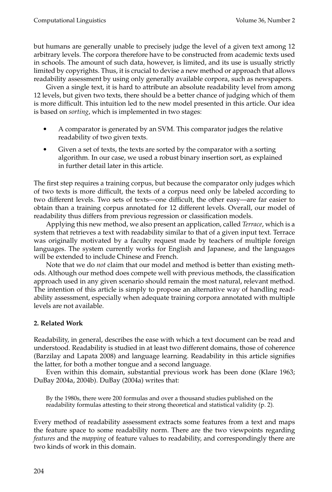but humans are generally unable to precisely judge the level of a given text among 12 arbitrary levels. The corpora therefore have to be constructed from academic texts used in schools. The amount of such data, however, is limited, and its use is usually strictly limited by copyrights. Thus, it is crucial to devise a new method or approach that allows readability assessment by using only generally available corpora, such as newspapers.

Given a single text, it is hard to attribute an absolute readability level from among 12 levels, but given two texts, there should be a better chance of judging which of them is more difficult. This intuition led to the new model presented in this article. Our idea is based on *sorting*, which is implemented in two stages:

- A comparator is generated by an SVM. This comparator judges the relative readability of two given texts.
- Given a set of texts, the texts are sorted by the comparator with a sorting algorithm. In our case, we used a robust binary insertion sort, as explained in further detail later in this article.

The first step requires a training corpus, but because the comparator only judges which of two texts is more difficult, the texts of a corpus need only be labeled according to two different levels. Two sets of texts—one difficult, the other easy—are far easier to obtain than a training corpus annotated for 12 different levels. Overall, our model of readability thus differs from previous regression or classification models.

Applying this new method, we also present an application, called *Terrace*, which is a system that retrieves a text with readability similar to that of a given input text. Terrace was originally motivated by a faculty request made by teachers of multiple foreign languages. The system currently works for English and Japanese, and the languages will be extended to include Chinese and French.

Note that we do *not* claim that our model and method is better than existing methods. Although our method does compete well with previous methods, the classification approach used in any given scenario should remain the most natural, relevant method. The intention of this article is simply to propose an alternative way of handling readability assessment, especially when adequate training corpora annotated with multiple levels are not available.

# **2. Related Work**

Readability, in general, describes the ease with which a text document can be read and understood. Readability is studied in at least two different domains, those of coherence (Barzilay and Lapata 2008) and language learning. Readability in this article signifies the latter, for both a mother tongue and a second language.

Even within this domain, substantial previous work has been done (Klare 1963; DuBay 2004a, 2004b). DuBay (2004a) writes that:

By the 1980s, there were 200 formulas and over a thousand studies published on the readability formulas attesting to their strong theoretical and statistical validity (p. 2).

Every method of readability assessment extracts some features from a text and maps the feature space to some readability norm. There are the two viewpoints regarding *features* and the *mapping* of feature values to readability, and correspondingly there are two kinds of work in this domain.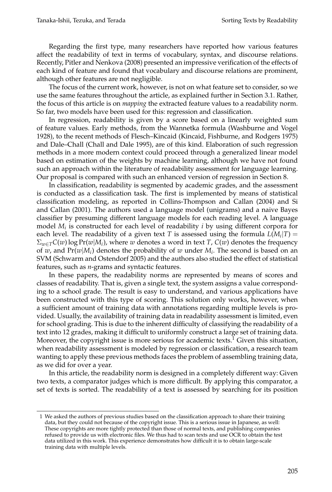Regarding the first type, many researchers have reported how various features affect the readability of text in terms of vocabulary, syntax, and discourse relations. Recently, Pitler and Nenkova (2008) presented an impressive verification of the effects of each kind of feature and found that vocabulary and discourse relations are prominent, although other features are not negligible.

The focus of the current work, however, is not on what feature set to consider, so we use the same features throughout the article, as explained further in Section 3.1. Rather, the focus of this article is on *mapping* the extracted feature values to a readability norm. So far, two models have been used for this: regression and classification.

In regression, readability is given by a score based on a linearly weighted sum of feature values. Early methods, from the Wannetka formula (Washburne and Vogel 1928), to the recent methods of Flesch–Kincaid (Kincaid, Fishburne, and Rodgers 1975) and Dale–Chall (Chall and Dale 1995), are of this kind. Elaboration of such regression methods in a more modern context could proceed through a generalized linear model based on estimation of the weights by machine learning, although we have not found such an approach within the literature of readability assessment for language learning. Our proposal is compared with such an enhanced version of regression in Section 8.

In classification, readability is segmented by academic grades, and the assessment is conducted as a classification task. The first is implemented by means of statistical classification modeling, as reported in Collins-Thompson and Callan (2004) and Si and Callan (2001). The authors used a language model (unigrams) and a naive Bayes classifier by presuming different language models for each reading level. A language model *Mi* is constructed for each level of readability *i* by using different corpora for each level. The readability of a given text *T* is assessed using the formula  $L(M_i|T)$  =  $\Sigma_{w \in T} C(w) \log \Pr(w|M_i)$ , where *w* denotes a word in text *T*,  $C(w)$  denotes the frequency of *w*, and  $Pr(w|M_i)$  denotes the probability of *w* under  $M_i$ . The second is based on an SVM (Schwarm and Ostendorf 2005) and the authors also studied the effect of statistical features, such as *n*-grams and syntactic features.

In these papers, the readability norms are represented by means of scores and classes of readability. That is, given a single text, the system assigns a value corresponding to a school grade. The result is easy to understand, and various applications have been constructed with this type of scoring. This solution only works, however, when a sufficient amount of training data with annotations regarding multiple levels is provided. Usually, the availability of training data in readability assessment is limited, even for school grading. This is due to the inherent difficulty of classifying the readability of a text into 12 grades, making it difficult to uniformly construct a large set of training data. Moreover, the copyright issue is more serious for academic texts.<sup>1</sup> Given this situation, when readability assessment is modeled by regression or classification, a research team wanting to apply these previous methods faces the problem of assembling training data, as we did for over a year.

In this article, the readability norm is designed in a completely different way: Given two texts, a comparator judges which is more difficult. By applying this comparator, a set of texts is sorted. The readability of a text is assessed by searching for its position

<sup>1</sup> We asked the authors of previous studies based on the classification approach to share their training data, but they could not because of the copyright issue. This is a serious issue in Japanese, as well: These copyrights are more tightly protected than those of normal texts, and publishing companies refused to provide us with electronic files. We thus had to scan texts and use OCR to obtain the test data utilized in this work. This experience demonstrates how difficult it is to obtain large-scale training data with multiple levels.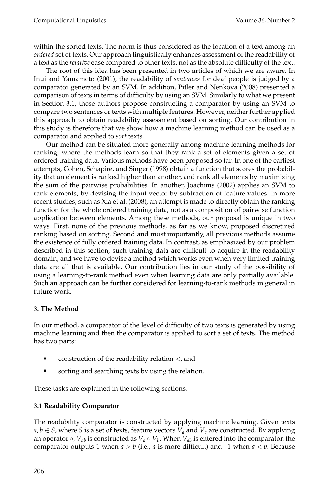within the sorted texts. The norm is thus considered as the location of a text among an *ordered* set of texts. Our approach linguistically enhances assessment of the readability of a text as the *relative* ease compared to other texts, not as the absolute difficulty of the text.

The root of this idea has been presented in two articles of which we are aware. In Inui and Yamamoto (2001), the readability of *sentences* for deaf people is judged by a comparator generated by an SVM. In addition, Pitler and Nenkova (2008) presented a comparison of texts in terms of difficulty by using an SVM. Similarly to what we present in Section 3.1, those authors propose constructing a comparator by using an SVM to compare two sentences or texts with multiple features. However, neither further applied this approach to obtain readability assessment based on sorting. Our contribution in this study is therefore that we show how a machine learning method can be used as a comparator and applied to *sort* texts.

Our method can be situated more generally among machine learning methods for ranking, where the methods learn so that they rank a set of elements given a set of ordered training data. Various methods have been proposed so far. In one of the earliest attempts, Cohen, Schapire, and Singer (1998) obtain a function that scores the probability that an element is ranked higher than another, and rank all elements by maximizing the sum of the pairwise probabilities. In another, Joachims (2002) applies an SVM to rank elements, by devising the input vector by subtraction of feature values. In more recent studies, such as Xia et al. (2008), an attempt is made to directly obtain the ranking function for the whole ordered training data, not as a composition of pairwise function application between elements. Among these methods, our proposal is unique in two ways. First, none of the previous methods, as far as we know, proposed discretized ranking based on sorting. Second and most importantly, all previous methods assume the existence of fully ordered training data. In contrast, as emphasized by our problem described in this section, such training data are difficult to acquire in the readability domain, and we have to devise a method which works even when very limited training data are all that is available. Our contribution lies in our study of the possibility of using a learning-to-rank method even when learning data are only partially available. Such an approach can be further considered for learning-to-rank methods in general in future work.

# **3. The Method**

In our method, a comparator of the level of difficulty of two texts is generated by using machine learning and then the comparator is applied to sort a set of texts. The method has two parts:

- construction of the readability relation  $\lt$ , and
- sorting and searching texts by using the relation.

These tasks are explained in the following sections.

# **3.1 Readability Comparator**

The readability comparator is constructed by applying machine learning. Given texts *a*, *b* ∈ *S*, where *S* is a set of texts, feature vectors  $V_a$  and  $V_b$  are constructed. By applying an operator  $\circ$ , *V<sub>ab</sub>* is constructed as *V<sub>a</sub>*  $\circ$  *V<sub>b</sub>*. When *V<sub>ab</sub>* is entered into the comparator, the comparator outputs 1 when  $a > b$  (i.e.,  $a$  is more difficult) and  $-1$  when  $a < b$ . Because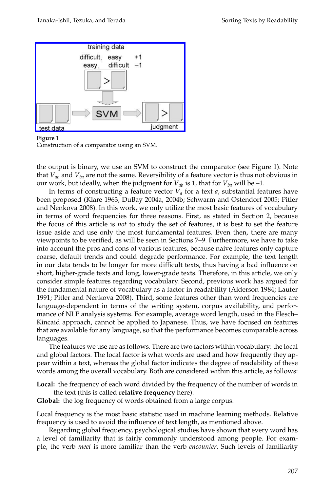[Tanaka-Ishii, Tezuka, and Terada](http://www.mitpressjournals.org/action/showImage?doi=10.1162/coli.2010.09-036-R2-08-050&iName=master.img-000.jpg&w=214&h=125) Sorting Texts by Readability



#### **Figure 1**

Construction of a comparator using an SVM.

the output is binary, we use an SVM to construct the comparator (see Figure 1). Note that *Vab* and *Vba* are not the same. Reversibility of a feature vector is thus not obvious in our work, but ideally, when the judgment for  $V_{ab}$  is 1, that for  $V_{ba}$  will be -1.

In terms of constructing a feature vector  $V_a$  for a text  $a$ , substantial features have been proposed (Klare 1963; DuBay 2004a, 2004b; Schwarm and Ostendorf 2005; Pitler and Nenkova 2008). In this work, we only utilize the most basic features of vocabulary in terms of word frequencies for three reasons. First, as stated in Section 2, because the focus of this article is *not* to study the set of features, it is best to set the feature issue aside and use only the most fundamental features. Even then, there are many viewpoints to be verified, as will be seen in Sections 7–9. Furthermore, we have to take into account the pros and cons of various features, because naive features only capture coarse, default trends and could degrade performance. For example, the text length in our data tends to be longer for more difficult texts, thus having a bad influence on short, higher-grade texts and long, lower-grade texts. Therefore, in this article, we only consider simple features regarding vocabulary. Second, previous work has argued for the fundamental nature of vocabulary as a factor in readability (Alderson 1984; Laufer 1991; Pitler and Nenkova 2008). Third, some features other than word frequencies are language-dependent in terms of the writing system, corpus availability, and performance of NLP analysis systems. For example, average word length, used in the Flesch– Kincaid approach, cannot be applied to Japanese. Thus, we have focused on features that are available for any language, so that the performance becomes comparable across languages.

The features we use are as follows. There are two factors within vocabulary: the local and global factors. The local factor is what words are used and how frequently they appear within a text, whereas the global factor indicates the degree of readability of these words among the overall vocabulary. Both are considered within this article, as follows:

**Local:** the frequency of each word divided by the frequency of the number of words in the text (this is called **relative frequency** here).

**Global:** the log frequency of words obtained from a large corpus.

Local frequency is the most basic statistic used in machine learning methods. Relative frequency is used to avoid the influence of text length, as mentioned above.

Regarding global frequency, psychological studies have shown that every word has a level of familiarity that is fairly commonly understood among people. For example, the verb *meet* is more familiar than the verb *encounter*. Such levels of familiarity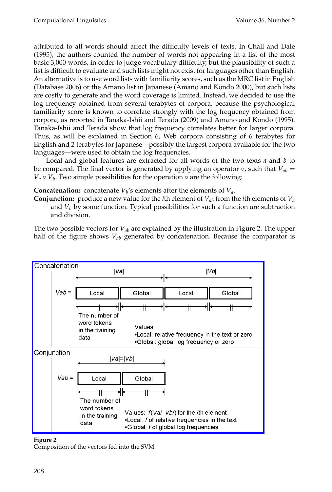Computational Linguistics Volume 36, Number 2

attributed to all words should affect the difficulty levels of texts. In Chall and Dale (1995), the authors counted the number of words not appearing in a list of the most basic 3,000 words, in order to judge vocabulary difficulty, but the plausibility of such a list is difficult to evaluate and such lists might not exist for languages other than English. An alternative is to use word lists with familiarity scores, such as the MRC list in English (Database 2006) or the Amano list in Japanese (Amano and Kondo 2000), but such lists are costly to generate and the word coverage is limited. Instead, we decided to use the log frequency obtained from several terabytes of corpora, because the psychological familiarity score is known to correlate strongly with the log frequency obtained from corpora, as reported in Tanaka-Ishii and Terada (2009) and Amano and Kondo (1995). Tanaka-Ishii and Terada show that log frequency correlates better for larger corpora. Thus, as will be explained in Section 6, Web corpora consisting of 6 terabytes for English and 2 terabytes for Japanese—possibly the largest corpora available for the two languages—were used to obtain the log frequencies.

Local and global features are extracted for all words of the two texts *a* and *b* to be compared. The final vector is generated by applying an operator  $\circ$ , such that  $V_{ab} =$  $V_a \circ V_b$ . Two simple possibilities for the operation  $\circ$  are the following:

**Concatenation:** concatenate  $V_b$ 's elements after the elements of  $V_a$ .

**Conjunction:** produce a new value for the *i*th element of  $V_{ab}$  from the *i*th elements of  $V_a$ and  $V<sub>b</sub>$  by some function. Typical possibilities for such a function are subtraction and division.

The two possible vectors for *Vab* are explained by the illustration in Figure 2. The upper half of the figure shows *Vab* [generated by concatenation. Because the com](http://www.mitpressjournals.org/action/showImage?doi=10.1162/coli.2010.09-036-R2-08-050&iName=master.img-001.png&w=335&h=247)parator is



#### **Figure 2**

Composition of the vectors fed into the SVM.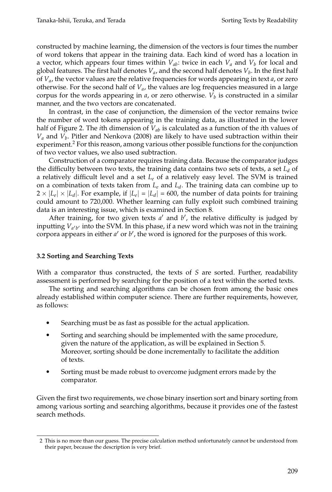constructed by machine learning, the dimension of the vectors is four times the number of word tokens that appear in the training data. Each kind of word has a location in a vector, which appears four times within  $V_{ab}$ : twice in each  $V_a$  and  $V_b$  for local and global features. The first half denotes  $V_a$ , and the second half denotes  $V_b$ . In the first half of *Va*, the vector values are the relative frequencies for words appearing in text *a*, or zero otherwise. For the second half of  $V_a$ , the values are log frequencies measured in a large corpus for the words appearing in  $a$ , or zero otherwise.  $V_b$  is constructed in a similar manner, and the two vectors are concatenated.

In contrast, in the case of conjunction, the dimension of the vector remains twice the number of word tokens appearing in the training data, as illustrated in the lower half of Figure 2. The *i*th dimension of *Vab* is calculated as a function of the *i*th values of  $V_a$  and  $V_b$ . Pitler and Nenkova (2008) are likely to have used subtraction within their experiment.<sup>2</sup> For this reason, among various other possible functions for the conjunction of two vector values, we also used subtraction.

Construction of a comparator requires training data. Because the comparator judges the difficulty between two texts, the training data contains two sets of texts, a set  $L_d$  of a relatively difficult level and a set  $L_e$  of a relatively easy level. The SVM is trained on a combination of texts taken from  $L_e$  and  $L_d$ . The training data can combine up to  $2 \times |L_e| \times |L_d|$ . For example, if  $|L_e| = |L_d| = 600$ , the number of data points for training could amount to 720,000. Whether learning can fully exploit such combined training data is an interesting issue, which is examined in Section 8.

After training, for two given texts a' and b', the relative difficulty is judged by inputting  $V_{a'b'}$  into the SVM. In this phase, if a new word which was not in the training corpora appears in either *a'* or *b'*, the word is ignored for the purposes of this work.

# **3.2 Sorting and Searching Texts**

With a comparator thus constructed, the texts of *S* are sorted. Further, readability assessment is performed by searching for the position of a text within the sorted texts.

The sorting and searching algorithms can be chosen from among the basic ones already established within computer science. There are further requirements, however, as follows:

- Searching must be as fast as possible for the actual application.
- Sorting and searching should be implemented with the same procedure, given the nature of the application, as will be explained in Section 5. Moreover, sorting should be done incrementally to facilitate the addition of texts.
- Sorting must be made robust to overcome judgment errors made by the comparator.

Given the first two requirements, we chose binary insertion sort and binary sorting from among various sorting and searching algorithms, because it provides one of the fastest search methods.

<sup>2</sup> This is no more than our guess. The precise calculation method unfortunately cannot be understood from their paper, because the description is very brief.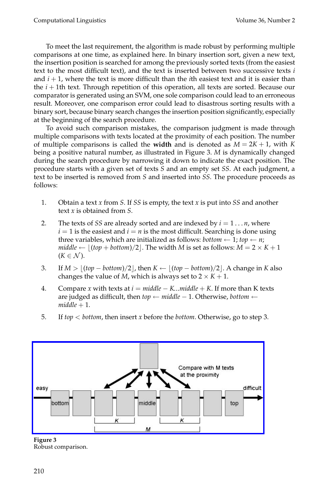Computational Linguistics Volume 36, Number 2

To meet the last requirement, the algorithm is made robust by performing multiple comparisons at one time, as explained here. In binary insertion sort, given a new text, the insertion position is searched for among the previously sorted texts (from the easiest text to the most difficult text), and the text is inserted between two successive texts *i* and  $i + 1$ , where the text is more difficult than the *i*th easiest text and it is easier than the  $i+1$ th text. Through repetition of this operation, all texts are sorted. Because our comparator is generated using an SVM, one sole comparison could lead to an erroneous result. Moreover, one comparison error could lead to disastrous sorting results with a binary sort, because binary search changes the insertion position significantly, especially at the beginning of the search procedure.

To avoid such comparison mistakes, the comparison judgment is made through multiple comparisons with texts located at the proximity of each position. The number of multiple comparisons is called the **width** and is denoted as  $M = 2K + 1$ , with K being a positive natural number, as illustrated in Figure 3. *M* is dynamically changed during the search procedure by narrowing it down to indicate the exact position. The procedure starts with a given set of texts *S* and an empty set *SS*. At each judgment, a text to be inserted is removed from *S* and inserted into *SS*. The procedure proceeds as follows:

- 1. Obtain a text *x* from *S*. If *SS* is empty, the text *x* is put into *SS* and another text *x* is obtained from *S*.
- 2. The texts of *SS* are already sorted and are indexed by  $i = 1 \dots n$ , where  $i = 1$  is the easiest and  $i = n$  is the most difficult. Searching is done using three variables, which are initialized as follows: *bottom*  $\leftarrow$  1; *top*  $\leftarrow$  *n*; *middle*  $\leftarrow$   $|(top + bottom)/2|$ . The width *M* is set as follows:  $M = 2 \times K + 1$  $(K \in \mathcal{N})$ .
- 3. If  $M > |(top bottom)/2|$ , then  $K \leftarrow |(top bottom)/2|$ . A change in *K* also changes the value of *M*, which is always set to  $2 \times K + 1$ .
- 4. Compare *x* with texts at  $i = middle K...middle + K$ . If more than K texts [are judged as difficult, then](http://www.mitpressjournals.org/action/showImage?doi=10.1162/coli.2010.09-036-R2-08-050&iName=master.img-002.jpg&w=335&h=130) *top* ← *middle* − 1. Otherwise, *bottom* ←  $middle + 1$ .
- 5. If *top* < *bottom*, then insert *x* before the *bottom*. Otherwise, go to step 3.



**Figure 3** Robust comparison.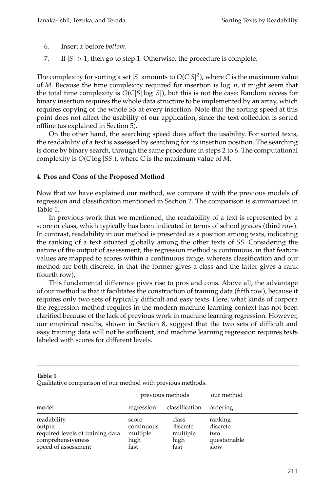- 6. Insert *x* before *bottom*.
- 7. If  $|S| > 1$ , then go to step 1. Otherwise, the procedure is complete.

The complexity for sorting a set |*S*| amounts to *O*(*C*|*S*| 2), where *C* is the maximum value of *M*. Because the time complexity required for insertion is log *n*, it might seem that the total time complexity is *O*(*C*|*S*| log |*S*|), but this is not the case: Random access for binary insertion requires the whole data structure to be implemented by an array, which requires copying of the whole *SS* at every insertion. Note that the sorting speed at this point does not affect the usability of our application, since the text collection is sorted offline (as explained in Section 5).

On the other hand, the searching speed does affect the usability. For sorted texts, the readability of a text is assessed by searching for its insertion position. The searching is done by binary search, through the same procedure in steps 2 to 6. The computational complexity is *O*(*C*log |*SS*|), where C is the maximum value of *M*.

# **4. Pros and Cons of the Proposed Method**

**Table 1**

Now that we have explained our method, we compare it with the previous models of regression and classification mentioned in Section 2. The comparison is summarized in Table 1.

In previous work that we mentioned, the readability of a text is represented by a score or class, which typically has been indicated in terms of school grades (third row). In contrast, readability in our method is presented as a position among texts, indicating the ranking of a text situated globally among the other texts of *SS*. Considering the nature of the output of assessment, the regression method is continuous, in that feature values are mapped to scores within a continuous range, whereas classification and our method are both discrete, in that the former gives a class and the latter gives a rank (fourth row).

This fundamental difference gives rise to pros and cons. Above all, the advantage of our method is that it facilitates the construction of training data (fifth row), because it requires only two sets of typically difficult and easy texts. Here, what kinds of corpora the regression method requires in the modern machine learning context has not been clarified because of the lack of previous work in machine learning regression. However, our empirical results, shown in Section 8, suggest that the two sets of difficult and easy training data will not be sufficient, and machine learning regression requires texts labeled with scores for different levels.

| Qualitative comparison of our method with previous methods.                                           |                                                 |                                               |                                                    |
|-------------------------------------------------------------------------------------------------------|-------------------------------------------------|-----------------------------------------------|----------------------------------------------------|
|                                                                                                       |                                                 | previous methods                              | our method                                         |
| model                                                                                                 | regression                                      | classification                                | ordering                                           |
| readability<br>output<br>required levels of training data<br>comprehensiveness<br>speed of assessment | score<br>continuous<br>multiple<br>high<br>fast | class<br>discrete<br>multiple<br>high<br>fast | ranking<br>discrete<br>two<br>questionable<br>slow |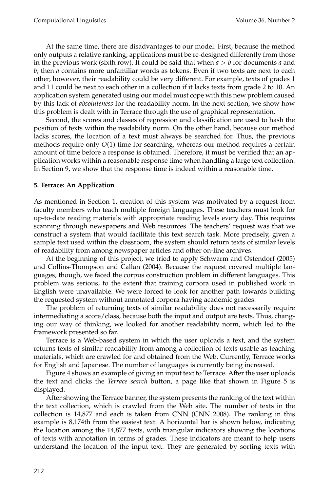At the same time, there are disadvantages to our model. First, because the method only outputs a relative ranking, applications must be re-designed differently from those in the previous work (sixth row). It could be said that when *a* > *b* for documents *a* and *b*, then *a* contains more unfamiliar words as tokens. Even if two texts are next to each other, however, their readability could be very different. For example, texts of grades 1 and 11 could be next to each other in a collection if it lacks texts from grade 2 to 10. An application system generated using our model must cope with this new problem caused by this lack of *absoluteness* for the readability norm. In the next section, we show how this problem is dealt with in Terrace through the use of graphical representation.

Second, the scores and classes of regression and classification are used to hash the position of texts within the readability norm. On the other hand, because our method lacks scores, the location of a text must always be searched for. Thus, the previous methods require only  $O(1)$  time for searching, whereas our method requires a certain amount of time before a response is obtained. Therefore, it must be verified that an application works within a reasonable response time when handling a large text collection. In Section 9, we show that the response time is indeed within a reasonable time.

# **5. Terrace: An Application**

As mentioned in Section 1, creation of this system was motivated by a request from faculty members who teach multiple foreign languages. These teachers must look for up-to-date reading materials with appropriate reading levels every day. This requires scanning through newspapers and Web resources. The teachers' request was that we construct a system that would facilitate this text search task. More precisely, given a sample text used within the classroom, the system should return texts of similar levels of readability from among newspaper articles and other on-line archives.

At the beginning of this project, we tried to apply Schwarm and Ostendorf (2005) and Collins-Thompson and Callan (2004). Because the request covered multiple languages, though, we faced the corpus construction problem in different languages. This problem was serious, to the extent that training corpora used in published work in English were unavailable. We were forced to look for another path towards building the requested system without annotated corpora having academic grades.

The problem of returning texts of similar readability does not necessarily require intermediating a score/class, because both the input and output are texts. Thus, changing our way of thinking, we looked for another readability norm, which led to the framework presented so far.

Terrace is a Web-based system in which the user uploads a text, and the system returns texts of similar readability from among a collection of texts usable as teaching materials, which are crawled for and obtained from the Web. Currently, Terrace works for English and Japanese. The number of languages is currently being increased.

Figure 4 shows an example of giving an input text to Terrace. After the user uploads the text and clicks the *Terrace search* button, a page like that shown in Figure 5 is displayed.

After showing the Terrace banner, the system presents the ranking of the text within the text collection, which is crawled from the Web site. The number of texts in the collection is 14,877 and each is taken from CNN (CNN 2008). The ranking in this example is 8,174th from the easiest text. A horizontal bar is shown below, indicating the location among the 14,877 texts, with triangular indicators showing the locations of texts with annotation in terms of grades. These indicators are meant to help users understand the location of the input text. They are generated by sorting texts with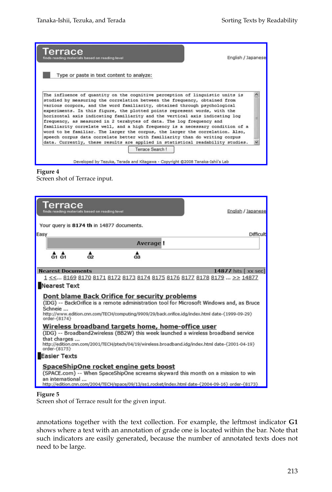[Tanaka-Ishii, Tezuka, and Terada Sorting Texts by](http://www.mitpressjournals.org/action/showImage?doi=10.1162/coli.2010.09-036-R2-08-050&iName=master.img-003.jpg&w=335&h=174) Readability

| Terrace<br>English / Japanese<br>finds reading materials based on reading level                                                                                                                                                                                                                                                                                                                                                                                                                                                                                                                                                                                                                                                                                                                                |  |
|----------------------------------------------------------------------------------------------------------------------------------------------------------------------------------------------------------------------------------------------------------------------------------------------------------------------------------------------------------------------------------------------------------------------------------------------------------------------------------------------------------------------------------------------------------------------------------------------------------------------------------------------------------------------------------------------------------------------------------------------------------------------------------------------------------------|--|
| Type or paste in text content to analyze:                                                                                                                                                                                                                                                                                                                                                                                                                                                                                                                                                                                                                                                                                                                                                                      |  |
| The influence of quantity on the cognitive perception of linguistic units is<br>studied by measuring the correlation between the frequency, obtained from<br>various corpora, and the word familiarity, obtained through psychological<br>experiments. In this figure, the plotted points represent words, with the<br>horizontal axis indicating familiarity and the vertical axis indicating log<br>frequency, as measured in 2 terabytes of data. The log frequency and<br>familiarity correlate well, and a high frequency is a necessary condition of a<br>word to be familiar. The larger the corpus, the larger the correlation. Also,<br>speech corpus data correlate better with familiarity than do writing corpus<br>data. Currently, these results are applied in statistical readability studies. |  |
| Terrace Search!                                                                                                                                                                                                                                                                                                                                                                                                                                                                                                                                                                                                                                                                                                                                                                                                |  |

### **Figure 4**

[Screen shot of Terrace input.](http://www.mitpressjournals.org/action/showImage?doi=10.1162/coli.2010.09-036-R2-08-050&iName=master.img-004.jpg&w=335&h=275)

| Terrace<br>finds reading materials based on reading level |                 |                                                                                                                                                  | English / Japanese                                                                                                                                                                     |
|-----------------------------------------------------------|-----------------|--------------------------------------------------------------------------------------------------------------------------------------------------|----------------------------------------------------------------------------------------------------------------------------------------------------------------------------------------|
| Your query is 8174 th in 14877 documents.                 |                 |                                                                                                                                                  |                                                                                                                                                                                        |
| Easy                                                      |                 | <b>Average!</b>                                                                                                                                  | Difficult                                                                                                                                                                              |
| $\frac{4}{91}$ $\frac{4}{91}$                             | $\overline{G2}$ | G3                                                                                                                                               |                                                                                                                                                                                        |
| <b>Nearest Documents</b>                                  |                 |                                                                                                                                                  | 14877 hits $\lceil$ xx sec]<br>1 << 8169 8170 8171 8172 8173 8174 8175 8176 8177 8178 8179  >> 14877                                                                                   |
| <b>Nearest Text</b>                                       |                 |                                                                                                                                                  |                                                                                                                                                                                        |
| Schneie<br>order-{8174}                                   |                 | Dont blame Back Orifice for security problems<br>http://www.edition.cnn.com/TECH/computing/9909/29/back.orifice.idg/index.html date-{1999-09-29} | (IDG) -- BackOrifice is a remote administration tool for Microsoft Windows and, as Bruce                                                                                               |
| that charges<br>order-{8175}<br><b>Easier Texts</b>       |                 | Wireless broadband targets home, home-office user                                                                                                | (IDG) -- Broadband2wireless (BB2W) this week launched a wireless broadband service<br>http://edition.cnn.com/2001/TECH/ptech/04/19/wireless.broadband.idg/index.html date-{2001-04-19} |
| an international                                          |                 | SpaceShipOne rocket engine gets boost                                                                                                            | (SPACE.com) -- When SpaceShipOne screams skyward this month on a mission to win<br>http://edition.cnn.com/2004/TECH/space/09/13/ss1.rocket/index.html date-{2004-09-16} order-{8173}   |

## **Figure 5**

Screen shot of Terrace result for the given input.

annotations together with the text collection. For example, the leftmost indicator **G1** shows where a text with an annotation of grade one is located within the bar. Note that such indicators are easily generated, because the number of annotated texts does not need to be large.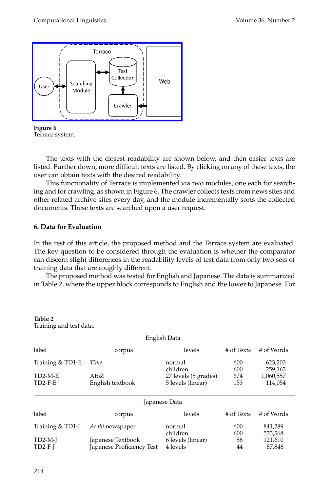[Computational Linguistics](http://www.mitpressjournals.org/action/showImage?doi=10.1162/coli.2010.09-036-R2-08-050&iName=master.img-005.png&w=215&h=110) Volume 36, Number 2





The texts with the closest readability are shown below, and then easier texts are listed. Further down, more difficult texts are listed. By clicking on any of these texts, the user can obtain texts with the desired readability.

This functionality of Terrace is implemented via two modules, one each for searching and for crawling, as shown in Figure 6. The crawler collects texts from news sites and other related archive sites every day, and the module incrementally sorts the collected documents. These texts are searched upon a user request.

## **6. Data for Evaluation**

In the rest of this article, the proposed method and the Terrace system are evaluated. The key question to be considered through the evaluation is whether the comparator can discern slight differences in the readability levels of test data from only two sets of training data that are roughly different.

The proposed method was tested for English and Japanese. The data is summarized in Table 2, where the upper block corresponds to English and the lower to Japanese. For

| Table 2<br>Training and test data. |                                                |                                           |            |                      |
|------------------------------------|------------------------------------------------|-------------------------------------------|------------|----------------------|
|                                    |                                                | English Data                              |            |                      |
| label                              | corpus                                         | levels                                    | # of Texts | # of Words           |
| Training & TD1-E                   | Time                                           | normal<br>children                        | 600<br>600 | 623,203<br>259,163   |
| TD2-M-E<br>TD2-F-E                 | AtoZ<br>English textbook                       | 27 levels (5 grades)<br>5 levels (linear) | 674<br>153 | 1,060,557<br>114,054 |
|                                    |                                                | Japanese Data                             |            |                      |
| label                              | corpus                                         | levels                                    | # of Texts | # of Words           |
| Training & TD1-J                   | Asahi newspaper                                | normal<br>children                        | 600<br>600 | 841,289<br>533,568   |
| TD2-M-J<br>$TD2-F-I$               | Japanese Textbook<br>Japanese Proficiency Test | 6 levels (linear)<br>4 levels             | 58<br>44   | 121,610<br>87,846    |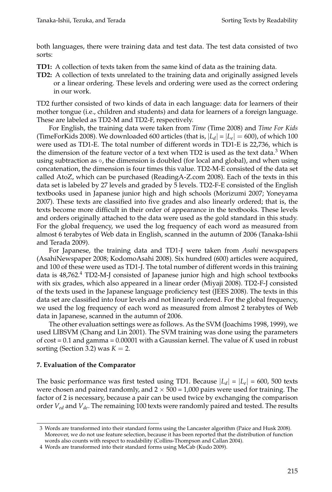both languages, there were training data and test data. The test data consisted of two sorts:

**TD1:** A collection of texts taken from the same kind of data as the training data.

**TD2:** A collection of texts unrelated to the training data and originally assigned levels or a linear ordering. These levels and ordering were used as the correct ordering in our work.

TD2 further consisted of two kinds of data in each language: data for learners of their mother tongue (i.e., children and students) and data for learners of a foreign language. These are labeled as TD2-M and TD2-F, respectively.

For English, the training data were taken from *Time* (Time 2008) and *Time For Kids* (TimeForKids 2008). We downloaded 600 articles (that is,  $|L_d| = |L_e| = 600$ ), of which 100 were used as TD1-E. The total number of different words in TD1-E is 22,736, which is the dimension of the feature vector of a text when TD2 is used as the text data.<sup>3</sup> When using subtraction as  $\circ$ , the dimension is doubled (for local and global), and when using concatenation, the dimension is four times this value. TD2-M-E consisted of the data set called AtoZ, which can be purchased (ReadingA-Z.com 2008). Each of the texts in this data set is labeled by 27 levels and graded by 5 levels. TD2-F-E consisted of the English textbooks used in Japanese junior high and high schools (Morizumi 2007; Yoneyama 2007). These texts are classified into five grades and also linearly ordered; that is, the texts become more difficult in their order of appearance in the textbooks. These levels and orders originally attached to the data were used as the gold standard in this study. For the global frequency, we used the log frequency of each word as measured from almost 6 terabytes of Web data in English, scanned in the autumn of 2006 (Tanaka-Ishii and Terada 2009).

For Japanese, the training data and TD1-J were taken from *Asahi* newspapers (AsahiNewspaper 2008; KodomoAsahi 2008). Six hundred (600) articles were acquired, and 100 of these were used as TD1-J. The total number of different words in this training data is 48,762.<sup>4</sup> TD2-M-J consisted of Japanese junior high and high school textbooks with six grades, which also appeared in a linear order (Miyaji 2008). TD2-F-J consisted of the texts used in the Japanese language proficiency test (JEES 2008). The texts in this data set are classified into four levels and not linearly ordered. For the global frequency, we used the log frequency of each word as measured from almost 2 terabytes of Web data in Japanese, scanned in the autumn of 2006.

The other evaluation settings were as follows. As the SVM (Joachims 1998, 1999), we used LIBSVM (Chang and Lin 2001). The SVM training was done using the parameters of cost = 0.1 and gamma = 0.00001 with a Gaussian kernel. The value of *K* used in robust sorting (Section 3.2) was  $K = 2$ .

# **7. Evaluation of the Comparator**

The basic performance was first tested using TD1. Because  $|L_d| = |L_e| = 600$ , 500 texts were chosen and paired randomly, and  $2 \times 500 = 1,000$  pairs were used for training. The factor of 2 is necessary, because a pair can be used twice by exchanging the comparison order *Ved* and *Vde*. The remaining 100 texts were randomly paired and tested. The results

<sup>3</sup> Words are transformed into their standard forms using the Lancaster algorithm (Paice and Husk 2008). Moreover, we do not use feature selection, because it has been reported that the distribution of function words also counts with respect to readability (Collins-Thompson and Callan 2004).

<sup>4</sup> Words are transformed into their standard forms using MeCab (Kudo 2009).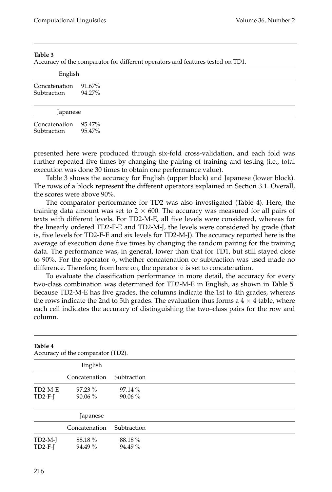#### **Table 3**

Accuracy of the comparator for different operators and features tested on TD1.

| English                             |        |  |  |
|-------------------------------------|--------|--|--|
| Concatenation 91.67%<br>Subtraction | 94.27% |  |  |
| Japanese                            |        |  |  |
| Concatenation 95.47%                |        |  |  |

Subtraction 95.47%

presented here were produced through six-fold cross-validation, and each fold was further repeated five times by changing the pairing of training and testing (i.e., total execution was done 30 times to obtain one performance value).

Table 3 shows the accuracy for English (upper block) and Japanese (lower block). The rows of a block represent the different operators explained in Section 3.1. Overall, the scores were above 90%.

The comparator performance for TD2 was also investigated (Table 4). Here, the training data amount was set to  $2 \times 600$ . The accuracy was measured for all pairs of texts with different levels. For TD2-M-E, all five levels were considered, whereas for the linearly ordered TD2-F-E and TD2-M-J, the levels were considered by grade (that is, five levels for TD2-F-E and six levels for TD2-M-J). The accuracy reported here is the average of execution done five times by changing the random pairing for the training data. The performance was, in general, lower than that for TD1, but still stayed close to 90%. For the operator ○, whether concatenation or subtraction was used made no difference. Therefore, from here on, the operator  $\circ$  is set to concatenation.

To evaluate the classification performance in more detail, the accuracy for every two-class combination was determined for TD2-M-E in English, as shown in Table 5. Because TD2-M-E has five grades, the columns indicate the 1st to 4th grades, whereas the rows indicate the 2nd to 5th grades. The evaluation thus forms a  $4 \times 4$  table, where each cell indicates the accuracy of distinguishing the two–class pairs for the row and column.

| Table 4                | Accuracy of the comparator (TD2). |                     |
|------------------------|-----------------------------------|---------------------|
|                        | English                           |                     |
|                        | Concatenation                     | Subtraction         |
| TD2-M-E<br>$TD2-F-I$   | 97.23 %<br>$90.06\%$              | 97.14%<br>$90.06\%$ |
|                        | Japanese                          |                     |
|                        | Concatenation                     | Subtraction         |
| $TD2-M-J$<br>$TD2-F-J$ | 88.18%<br>94.49 %                 | 88.18%<br>94.49 %   |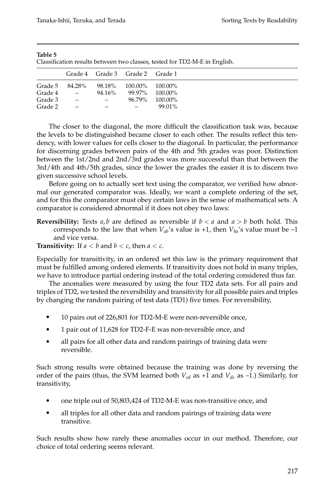|         |                          |                   | Grade 4 Grade 3 Grade 2 Grade 1 |         |  |  |
|---------|--------------------------|-------------------|---------------------------------|---------|--|--|
| Grade 5 | 84.28%                   | 98.18%            | 100.00%                         | 100.00% |  |  |
| Grade 4 | $\overline{\phantom{m}}$ | 94.16%            | 99.97%                          | 100.00% |  |  |
| Grade 3 | $\overline{\phantom{a}}$ | $\sim$ 100 $\sim$ | 96.79%                          | 100.00% |  |  |
| Grade 2 | $\overline{\phantom{m}}$ | $\qquad \qquad$   | $\overline{\phantom{0}}$        | 99.01%  |  |  |

**Table 5** Classification results between two classes, tested for TD2-M-E in English.

The closer to the diagonal, the more difficult the classification task was, because the levels to be distinguished became closer to each other. The results reflect this tendency, with lower values for cells closer to the diagonal. In particular, the performance for discerning grades between pairs of the 4th and 5th grades was poor. Distinction between the 1st/2nd and 2nd/3rd grades was more successful than that between the 3rd/4th and 4th/5th grades, since the lower the grades the easier it is to discern two given successive school levels.

Before going on to actually sort text using the comparator, we verified how abnormal our generated comparator was. Ideally, we want a complete ordering of the set, and for this the comparator must obey certain laws in the sense of mathematical sets. A comparator is considered abnormal if it does not obey two laws:

**Reversibility:** Texts  $a, b$  are defined as reversible if  $b < a$  and  $a > b$  both hold. This corresponds to the law that when  $V_{ab}$ 's value is +1, then  $V_{ba}$ 's value must be -1 and vice versa.

**Transitivity:** If  $a < b$  and  $b < c$ , then  $a < c$ .

Especially for transitivity, in an ordered set this law is the primary requirement that must be fulfilled among ordered elements. If transitivity does not hold in many triples, we have to introduce partial ordering instead of the total ordering considered thus far.

The anomalies were measured by using the four TD2 data sets. For all pairs and triples of TD2, we tested the reversibility and transitivity for all possible pairs and triples by changing the random pairing of test data (TD1) five times. For reversibility,

- 10 pairs out of 226,801 for TD2-M-E were non-reversible once,
- 1 pair out of 11,628 for TD2-F-E was non-reversible once, and
- all pairs for all other data and random pairings of training data were reversible.

Such strong results were obtained because the training was done by reversing the order of the pairs (thus, the SVM learned both *Ved* as +1 and *Vde* as –1.) Similarly, for transitivity,

- one triple out of 50,803,424 of TD2-M-E was non-transitive once, and
- all triples for all other data and random pairings of training data were transitive.

Such results show how rarely these anomalies occur in our method. Therefore, our choice of total ordering seems relevant.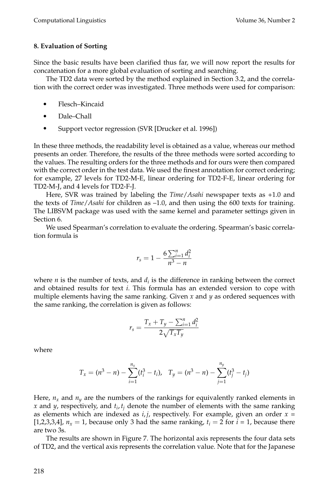# **8. Evaluation of Sorting**

Since the basic results have been clarified thus far, we will now report the results for concatenation for a more global evaluation of sorting and searching.

The TD2 data were sorted by the method explained in Section 3.2, and the correlation with the correct order was investigated. Three methods were used for comparison:

- Flesch–Kincaid
- Dale–Chall
- Support vector regression (SVR [Drucker et al. 1996])

In these three methods, the readability level is obtained as a value, whereas our method presents an order. Therefore, the results of the three methods were sorted according to the values. The resulting orders for the three methods and for ours were then compared with the correct order in the test data. We used the finest annotation for correct ordering; for example, 27 levels for TD2-M-E, linear ordering for TD2-F-E, linear ordering for TD2-M-J, and 4 levels for TD2-F-J.

Here, SVR was trained by labeling the *Time*/*Asahi* newspaper texts as +1.0 and the texts of *Time*/*Asahi* for children as –1.0, and then using the 600 texts for training. The LIBSVM package was used with the same kernel and parameter settings given in Section 6.

We used Spearman's correlation to evaluate the ordering. Spearman's basic correlation formula is

$$
r_s = 1 - \frac{6 \sum_{i=1}^{n} d_i^2}{n^3 - n}
$$

where  $n$  is the number of texts, and  $d_i$  is the difference in ranking between the correct and obtained results for text *i*. This formula has an extended version to cope with multiple elements having the same ranking. Given *x* and *y* as ordered sequences with the same ranking, the correlation is given as follows:

$$
r_s = \frac{T_x + T_y - \sum_{i=1}^n d_i^2}{2\sqrt{T_x T_y}}
$$

where

$$
T_x = (n^3 - n) - \sum_{i=1}^{n_x} (t_i^3 - t_i), \quad T_y = (n^3 - n) - \sum_{j=1}^{n_y} (t_j^3 - t_j)
$$

Here,  $n_x$  and  $n_y$  are the numbers of the rankings for equivalently ranked elements in *x* and *y*, respectively, and *ti*, *tj* denote the number of elements with the same ranking as elements which are indexed as  $i, j$ , respectively. For example, given an order  $x =$ [1,2,3,3,4],  $n_x = 1$ , because only 3 had the same ranking,  $t_i = 2$  for  $i = 1$ , because there are two 3s.

The results are shown in Figure 7. The horizontal axis represents the four data sets of TD2, and the vertical axis represents the correlation value. Note that for the Japanese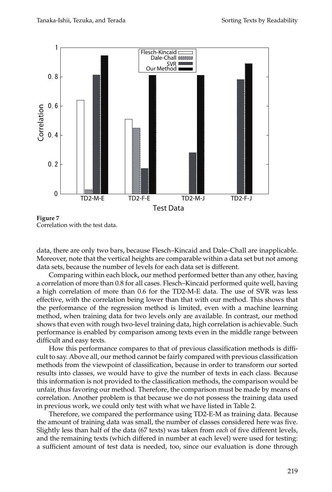

**Figure 7** Correlation with the test data.

data, there are only two bars, because Flesch–Kincaid and Dale–Chall are inapplicable. Moreover, note that the vertical heights are comparable within a data set but not among data sets, because the number of levels for each data set is different.

Comparing within each block, our method performed better than any other, having a correlation of more than 0.8 for all cases. Flesch–Kincaid performed quite well, having a high correlation of more than 0.6 for the TD2-M-E data. The use of SVR was less effective, with the correlation being lower than that with our method. This shows that the performance of the regression method is limited, even with a machine learning method, when training data for two levels only are available. In contrast, our method shows that even with rough two-level training data, high correlation is achievable. Such performance is enabled by comparison among texts even in the middle range between difficult and easy texts.

How this performance compares to that of previous classification methods is difficult to say. Above all, our method cannot be fairly compared with previous classification methods from the viewpoint of classification, because in order to transform our sorted results into classes, we would have to give the number of texts in each class. Because this information is not provided to the classification methods, the comparison would be unfair, thus favoring our method. Therefore, the comparison must be made by means of correlation. Another problem is that because we do not possess the training data used in previous work, we could only test with what we have listed in Table 2.

Therefore, we compared the performance using TD2-E-M as training data. Because the amount of training data was small, the number of classes considered here was five. Slightly less than half of the data (67 texts) was taken from *each* of five different levels, and the remaining texts (which differed in number at each level) were used for testing: a sufficient amount of test data is needed, too, since our evaluation is done through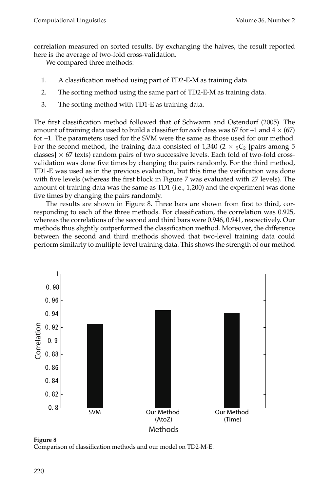correlation measured on sorted results. By exchanging the halves, the result reported here is the average of two-fold cross-validation.

We compared three methods:

- 1. A classification method using part of TD2-E-M as training data.
- 2. The sorting method using the same part of TD2-E-M as training data.
- 3. The sorting method with TD1-E as training data.

The first classification method followed that of Schwarm and Ostendorf (2005). The amount of training data used to build a classifier for *each* class was 67 for +1 and  $4 \times (67)$ for –1. The parameters used for the SVM were the same as those used for our method. For the second method, the training data consisted of 1,340 ( $2 \times 5C_2$  [pairs among 5 classes]  $\times$  67 texts) random pairs of two successive levels. Each fold of two-fold crossvalidation was done five times by changing the pairs randomly. For the third method, TD1-E was used as in the previous evaluation, but this time the verification was done with five levels (whereas the first block in Figure 7 was evaluated with 27 levels). The amount of training data was the same as TD1 (i.e., 1,200) and the experiment was done five times by changing the pairs randomly.

The results are shown in Figure 8. Three bars are shown from first to third, corresponding to each of the three methods. For classification, the correlation was 0.925, whereas the correlations of the second and third bars were 0.946, 0.941, respectively. Our methods thus slightly outperformed the classification method. Moreover, the difference between the second and third methods showed that two-level training data could perform similarly to multiple-level training data. This shows the strength of our method



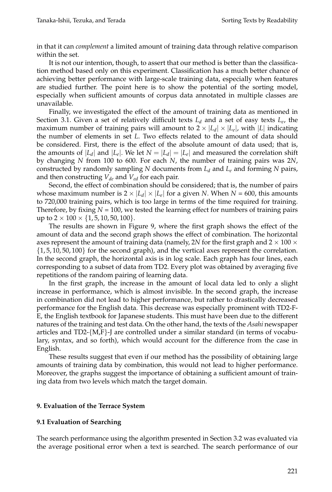in that it can *complement* a limited amount of training data through relative comparison within the set.

It is not our intention, though, to assert that our method is better than the classification method based only on this experiment. Classification has a much better chance of achieving better performance with large-scale training data, especially when features are studied further. The point here is to show the potential of the sorting model, especially when sufficient amounts of corpus data annotated in multiple classes are unavailable.

Finally, we investigated the effect of the amount of training data as mentioned in Section 3.1. Given a set of relatively difficult texts  $L_d$  and a set of easy texts  $L_e$ , the maximum number of training pairs will amount to  $2 \times |L_d| \times |L_e|$ , with |*L*| indicating the number of elements in set *L*. Two effects related to the amount of data should be considered. First, there is the effect of the absolute amount of data used; that is, the amounts of  $|L_d|$  and  $|L_e|$ . We let  $N = |L_d| = |L_e|$  and measured the correlation shift by changing *N* from 100 to 600. For each *N*, the number of training pairs was 2*N*, constructed by randomly sampling *N* documents from  $L_d$  and  $L_e$  and forming *N* pairs, and then constructing  $V_{de}$  and  $V_{ed}$  for each pair.

Second, the effect of combination should be considered; that is, the number of pairs whose maximum number is  $2 \times |L_d| \times |L_e|$  for a given *N*. When  $N = 600$ , this amounts to 720,000 training pairs, which is too large in terms of the time required for training. Therefore, by fixing  $N = 100$ , we tested the learning effect for numbers of training pairs up to  $2 \times 100 \times \{1, 5, 10, 50, 100\}$ .

The results are shown in Figure 9, where the first graph shows the effect of the amount of data and the second graph shows the effect of combination. The horizontal axes represent the amount of training data (namely, 2*N* for the first graph and  $2 \times 100 \times$ {1, 5, 10, 50, 100} for the second graph), and the vertical axes represent the correlation. In the second graph, the horizontal axis is in log scale. Each graph has four lines, each corresponding to a subset of data from TD2. Every plot was obtained by averaging five repetitions of the random pairing of learning data.

In the first graph, the increase in the amount of local data led to only a slight increase in performance, which is almost invisible. In the second graph, the increase in combination did not lead to higher performance, but rather to drastically decreased performance for the English data. This decrease was especially prominent with TD2-F-E, the English textbook for Japanese students. This must have been due to the different natures of the training and test data. On the other hand, the texts of the *Asahi* newspaper articles and TD2-{M,F}-J are controlled under a similar standard (in terms of vocabulary, syntax, and so forth), which would account for the difference from the case in English.

These results suggest that even if our method has the possibility of obtaining large amounts of training data by combination, this would not lead to higher performance. Moreover, the graphs suggest the importance of obtaining a sufficient amount of training data from two levels which match the target domain.

#### **9. Evaluation of the Terrace System**

#### **9.1 Evaluation of Searching**

The search performance using the algorithm presented in Section 3.2 was evaluated via the average positional error when a text is searched. The search performance of our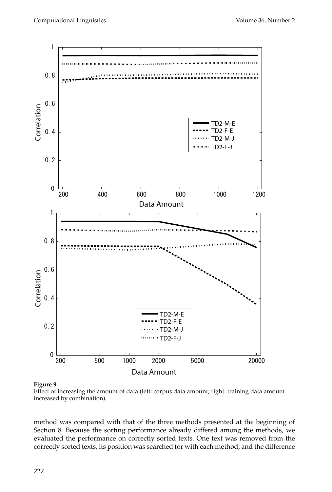

# **Figure 9**

Effect of increasing the amount of data (left: corpus data amount; right: training data amount increased by combination).

method was compared with that of the three methods presented at the beginning of Section 8. Because the sorting performance already differed among the methods, we evaluated the performance on correctly sorted texts. One text was removed from the correctly sorted texts, its position was searched for with each method, and the difference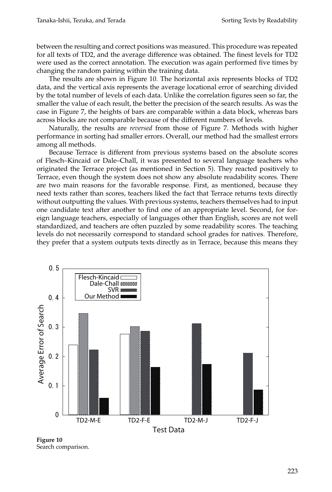between the resulting and correct positions was measured. This procedure was repeated for all texts of TD2, and the average difference was obtained. The finest levels for TD2 were used as the correct annotation. The execution was again performed five times by changing the random pairing within the training data.

The results are shown in Figure 10. The horizontal axis represents blocks of TD2 data, and the vertical axis represents the average locational error of searching divided by the total number of levels of each data. Unlike the correlation figures seen so far, the smaller the value of each result, the better the precision of the search results. As was the case in Figure 7, the heights of bars are comparable within a data block, whereas bars across blocks are not comparable because of the different numbers of levels.

Naturally, the results are *reversed* from those of Figure 7. Methods with higher performance in sorting had smaller errors. Overall, our method had the smallest errors among all methods.

Because Terrace is different from previous systems based on the absolute scores of Flesch–Kincaid or Dale–Chall, it was presented to several language teachers who originated the Terrace project (as mentioned in Section 5). They reacted positively to Terrace, even though the system does not show any absolute readability scores. There are two main reasons for the favorable response. First, as mentioned, because they need texts rather than scores, teachers liked the fact that Terrace returns texts directly without outputting the values. With previous systems, teachers themselves had to input one candidate text after another to find one of an appropriate level. Second, for foreign language teachers, especially of languages other than English, scores are not well standardized, and teachers are often puzzled by some readability scores. The teaching levels do not necessarily correspond to standard school grades for natives. Therefore, they prefer that a system outputs texts directly as in Terrace, because this means they



**Figure 10** Search comparison.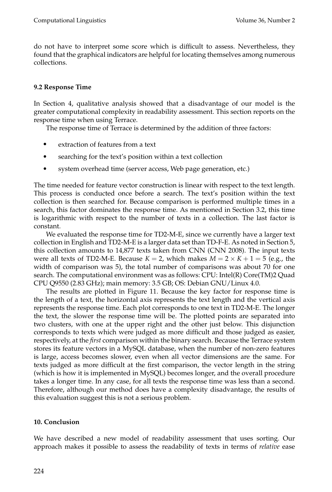do not have to interpret some score which is difficult to assess. Nevertheless, they found that the graphical indicators are helpful for locating themselves among numerous collections.

# **9.2 Response Time**

In Section 4, qualitative analysis showed that a disadvantage of our model is the greater computational complexity in readability assessment. This section reports on the response time when using Terrace.

The response time of Terrace is determined by the addition of three factors:

- extraction of features from a text
- searching for the text's position within a text collection
- system overhead time (server access, Web page generation, etc.)

The time needed for feature vector construction is linear with respect to the text length. This process is conducted once before a search. The text's position within the text collection is then searched for. Because comparison is performed multiple times in a search, this factor dominates the response time. As mentioned in Section 3.2, this time is logarithmic with respect to the number of texts in a collection. The last factor is constant.

We evaluated the response time for TD2-M-E, since we currently have a larger text collection in English and TD2-M-E is a larger data set than TD-F-E. As noted in Section 5, this collection amounts to 14,877 texts taken from CNN (CNN 2008). The input texts were all texts of TD2-M-E. Because  $K = 2$ , which makes  $M = 2 \times K + 1 = 5$  (e.g., the width of comparison was 5), the total number of comparisons was about 70 for one search. The computational environment was as follows: CPU: Intel(R) Core(TM)2 Quad CPU Q9550 (2.83 GHz); main memory: 3.5 GB; OS: Debian GNU/Linux 4.0.

The results are plotted in Figure 11. Because the key factor for response time is the length of a text, the horizontal axis represents the text length and the vertical axis represents the response time. Each plot corresponds to one text in TD2-M-E. The longer the text, the slower the response time will be. The plotted points are separated into two clusters, with one at the upper right and the other just below. This disjunction corresponds to texts which were judged as more difficult and those judged as easier, respectively, at the *first* comparison within the binary search. Because the Terrace system stores its feature vectors in a MySQL database, when the number of non-zero features is large, access becomes slower, even when all vector dimensions are the same. For texts judged as more difficult at the first comparison, the vector length in the string (which is how it is implemented in MySQL) becomes longer, and the overall procedure takes a longer time. In any case, for all texts the response time was less than a second. Therefore, although our method does have a complexity disadvantage, the results of this evaluation suggest this is not a serious problem.

# **10. Conclusion**

We have described a new model of readability assessment that uses sorting. Our approach makes it possible to assess the readability of texts in terms of *relative* ease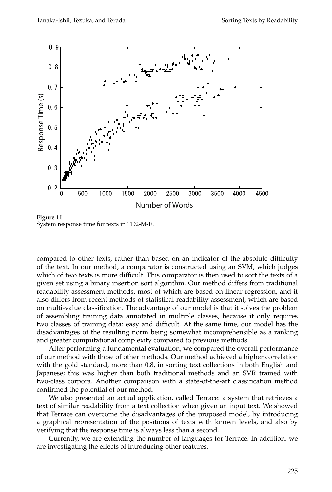

**Figure 11** System response time for texts in TD2-M-E.

compared to other texts, rather than based on an indicator of the absolute difficulty of the text. In our method, a comparator is constructed using an SVM, which judges which of two texts is more difficult. This comparator is then used to sort the texts of a given set using a binary insertion sort algorithm. Our method differs from traditional readability assessment methods, most of which are based on linear regression, and it also differs from recent methods of statistical readability assessment, which are based on multi-value classification. The advantage of our model is that it solves the problem of assembling training data annotated in multiple classes, because it only requires two classes of training data: easy and difficult. At the same time, our model has the disadvantages of the resulting norm being somewhat incomprehensible as a ranking and greater computational complexity compared to previous methods.

After performing a fundamental evaluation, we compared the overall performance of our method with those of other methods. Our method achieved a higher correlation with the gold standard, more than 0.8, in sorting text collections in both English and Japanese; this was higher than both traditional methods and an SVR trained with two-class corpora. Another comparison with a state-of-the-art classification method confirmed the potential of our method.

We also presented an actual application, called Terrace: a system that retrieves a text of similar readability from a text collection when given an input text. We showed that Terrace can overcome the disadvantages of the proposed model, by introducing a graphical representation of the positions of texts with known levels, and also by verifying that the response time is always less than a second.

Currently, we are extending the number of languages for Terrace. In addition, we are investigating the effects of introducing other features.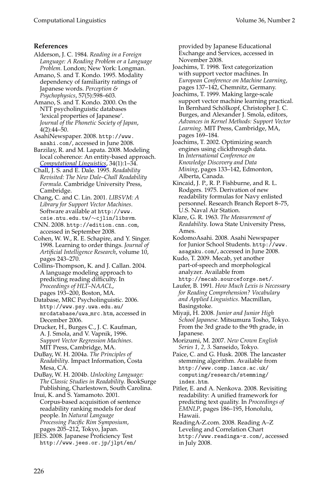#### Computational Linguistics Volume 36, Number 2

#### **References**

- Alderson, J. C. 1984. *Reading in a Foreign Language: A Reading Problem or a Language Problem*. London; New York: Longman.
- Amano, S. and T. Kondo. 1995. Modality dependency of familiarity ratings of Japanese words. *Perception & Psychophysics*, 57(5):598–603.
- Amano, S. and T. Kondo. 2000. On the NTT psycholinguistic databases 'lexical properties of Japanese'. *Journal of the Phonetic Society of Japan*,  $4(2):44-50.$
- AsahiNewspaper. 2008. http://www. asahi.com/, accessed in June 2008.
- Barzilay, R. and M. Lapata. 2008. Modeling local coherence: An entity-based approach. *Computational Linguistics*, 34(1):1–34.
- Chall, J. S. and E. Dale. 1995. *Readability Revisited: The New Dale–Chall Readability Formula*. Cambridge University Press, Cambridge.
- Chang, C. and C. Lin. 2001. *LIBSVM: A Library for Support Vector Machines*. Software available at http://www. csie.ntu.edu.tw/∼cjlin/libsvm.
- CNN. 2008. http://edition.cnn.com, accessed in September 2008.
- Cohen, W. W., R. E. Schapire, and Y. Singer. 1998. Learning to order things. *Journal of Artificial Intelligence Research*, volume 10, pages 243–270.
- Collins-Thompson, K. and J. Callan. 2004. A language modeling approach to predicting reading difficulty. In *Proceedings of HLT–NAACL*, pages 193–200, Boston, MA.
- Database, MRC Psycholinguistic. 2006. http://www.psy.uwa.edu.au/ mrcdatabase/uwa mrc.htm, accessed in December 2006.
- Drucker, H., Burges C., J. C. Kaufman, A. J. Smola, and V. Vapnik, 1996. *Support Vector Regression Machines*. MIT Press, Cambridge, MA.
- DuBay, W. H. 2004a. *The Principles of Readability*. Impact Information, Costa Mesa, CA.
- DuBay, W. H. 2004b. *Unlocking Language: The Classic Studies in Readability*. BookSurge Publishing, Charlestown, South Carolina.
- Inui, K. and S. Yamamoto. 2001. Corpus-based acquisition of sentence readability ranking models for deaf people. In *Natural Language Processing Pacific Rim Symposium*, pages 205–212, Tokyo, Japan.
- JEES. 2008. Japanese Proficiency Test http://www.jees.or.jp/jlpt/en/

- provided by Japanese Educational Exchange and Services, accessed in November 2008.
- Joachims, T. 1998. Text categorization with support vector machines. In *European Conference on Machine Learning*, pages 137–142, Chemnitz, Germany.
- Joachims, T. 1999. Making large-scale support vector machine learning practical. In Bernhard Scholkopf, Christopher J. C. ¨ Burges, and Alexander J. Smola, editors, *Advances in Kernel Methods: Support Vector Learning*. MIT Press, Cambridge, MA, pages 169–184.
- Joachims, T. 2002. Optimizing search engines using clickthrough data. In *International Conference on Knowledge Discovery and Data Mining*, pages 133–142, Edmonton, Alberta, Canada.
- Kincaid, J. P., R. P. Fishburne, and R. L. Rodgers. 1975. Derivation of new readability formulas for Navy enlisted personnel. Research Branch Report 8–75, U.S. Naval Air Station.
- Klare, G. R. 1963. *The Measurement of Readability*. Iowa State University Press, Ames.
- KodomoAsahi. 2008. Asahi Newspaper for Junior School Students. http://www. asagaku.com/, accessed in June 2008.
- Kudo, T. 2009. Mecab, yet another part-of-speech and morphological analyzer. Available from http://mecab.sourceforge.net/.
- Laufer, B. 1991. *How Much Lexis is Necessary for Reading Comprehension? Vocabulary and Applied Linguistics*. Macmillan, Basingstoke.
- Miyaji, H. 2008. *Junior and Junior High School Japanese*. Mitsumura Tosho, Tokyo. From the 3rd grade to the 9th grade, in Japanese.
- Morizumi, M. 2007. *New Crown English Series 1, 2, 3*. Sanseido, Tokyo.
- Paice, C. and G. Husk. 2008. The lancaster stemming algorithm. Available from http://www.comp.lancs.ac.uk/ computing/research/stemming/ index.htm.
- Pitler, E. and A. Nenkova. 2008. Revisiting readability: A unified framework for predicting text quality. In *Proceedings of EMNLP*, pages 186–195, Honolulu, Hawaii.
- ReadingA-Z.com. 2008. Reading A–Z Leveling and Correlation Chart http://www.readinga-z.com/, accessed in July 2008.